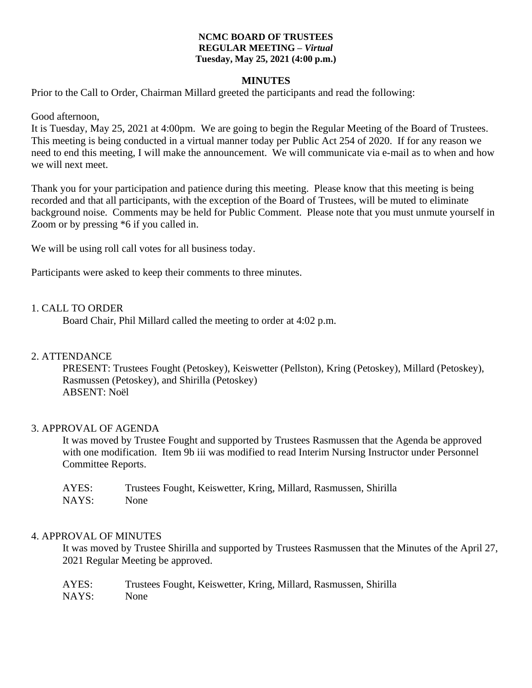#### **NCMC BOARD OF TRUSTEES REGULAR MEETING –** *Virtual* **Tuesday, May 25, 2021 (4:00 p.m.)**

#### **MINUTES**

Prior to the Call to Order, Chairman Millard greeted the participants and read the following:

Good afternoon,

It is Tuesday, May 25, 2021 at 4:00pm. We are going to begin the Regular Meeting of the Board of Trustees. This meeting is being conducted in a virtual manner today per Public Act 254 of 2020. If for any reason we need to end this meeting, I will make the announcement. We will communicate via e-mail as to when and how we will next meet.

Thank you for your participation and patience during this meeting. Please know that this meeting is being recorded and that all participants, with the exception of the Board of Trustees, will be muted to eliminate background noise. Comments may be held for Public Comment. Please note that you must unmute yourself in Zoom or by pressing \*6 if you called in.

We will be using roll call votes for all business today.

Participants were asked to keep their comments to three minutes.

#### 1. CALL TO ORDER

Board Chair, Phil Millard called the meeting to order at 4:02 p.m.

## 2. ATTENDANCE

PRESENT: Trustees Fought (Petoskey), Keiswetter (Pellston), Kring (Petoskey), Millard (Petoskey), Rasmussen (Petoskey), and Shirilla (Petoskey) ABSENT: Noël

## 3. APPROVAL OF AGENDA

It was moved by Trustee Fought and supported by Trustees Rasmussen that the Agenda be approved with one modification. Item 9b iii was modified to read Interim Nursing Instructor under Personnel Committee Reports.

| AYES: | Trustees Fought, Keiswetter, Kring, Millard, Rasmussen, Shirilla |
|-------|------------------------------------------------------------------|
| NAYS: | None                                                             |

#### 4. APPROVAL OF MINUTES

It was moved by Trustee Shirilla and supported by Trustees Rasmussen that the Minutes of the April 27, 2021 Regular Meeting be approved.

| AYES: | Trustees Fought, Keiswetter, Kring, Millard, Rasmussen, Shirilla |
|-------|------------------------------------------------------------------|
| NAYS: | None                                                             |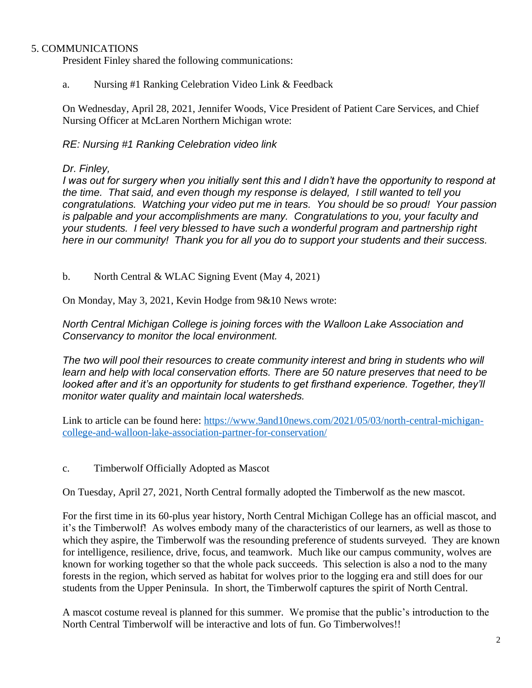# 5. COMMUNICATIONS

President Finley shared the following communications:

a. Nursing #1 Ranking Celebration Video Link & Feedback

On Wednesday, April 28, 2021, Jennifer Woods, Vice President of Patient Care Services, and Chief Nursing Officer at McLaren Northern Michigan wrote:

## *RE: Nursing #1 Ranking Celebration video link*

## *Dr. Finley,*

*I was out for surgery when you initially sent this and I didn't have the opportunity to respond at the time. That said, and even though my response is delayed, I still wanted to tell you congratulations. Watching your video put me in tears. You should be so proud! Your passion is palpable and your accomplishments are many. Congratulations to you, your faculty and your students. I feel very blessed to have such a wonderful program and partnership right here in our community! Thank you for all you do to support your students and their success.*

b. North Central & WLAC Signing Event (May 4, 2021)

On Monday, May 3, 2021, Kevin Hodge from 9&10 News wrote:

*North Central Michigan College is joining forces with the Walloon Lake Association and Conservancy to monitor the local environment.*

The two will pool their resources to create community interest and bring in students who will *learn and help with local conservation efforts. There are 50 nature preserves that need to be looked after and it's an opportunity for students to get firsthand experience. Together, they'll monitor water quality and maintain local watersheds.*

Link to article can be found here: [https://www.9and10news.com/2021/05/03/north-central-michigan](https://www.9and10news.com/2021/05/03/north-central-michigan-college-and-walloon-lake-association-partner-for-conservation/)[college-and-walloon-lake-association-partner-for-conservation/](https://www.9and10news.com/2021/05/03/north-central-michigan-college-and-walloon-lake-association-partner-for-conservation/)

c. Timberwolf Officially Adopted as Mascot

On Tuesday, April 27, 2021, North Central formally adopted the Timberwolf as the new mascot.

For the first time in its 60-plus year history, North Central Michigan College has an official mascot, and it's the Timberwolf! As wolves embody many of the characteristics of our learners, as well as those to which they aspire, the Timberwolf was the resounding preference of students surveyed. They are known for intelligence, resilience, drive, focus, and teamwork. Much like our campus community, wolves are known for working together so that the whole pack succeeds. This selection is also a nod to the many forests in the region, which served as habitat for wolves prior to the logging era and still does for our students from the Upper Peninsula. In short, the Timberwolf captures the spirit of North Central.

A mascot costume reveal is planned for this summer. We promise that the public's introduction to the North Central Timberwolf will be interactive and lots of fun. Go Timberwolves!!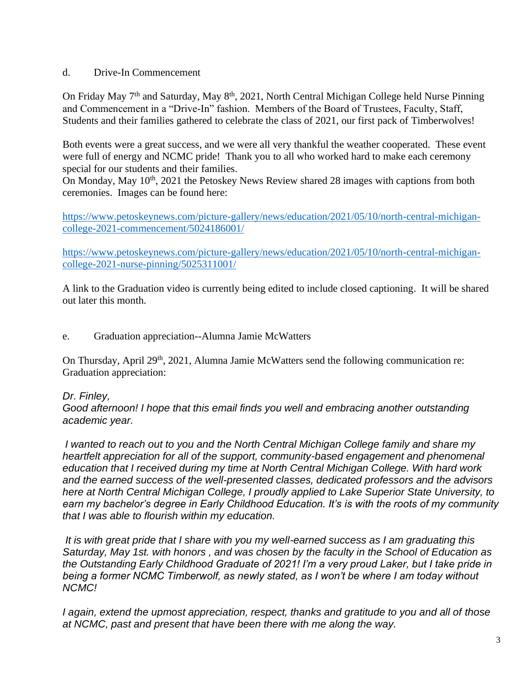# d. Drive-In Commencement

On Friday May 7<sup>th</sup> and Saturday, May 8<sup>th</sup>, 2021, North Central Michigan College held Nurse Pinning and Commencement in a "Drive-In" fashion. Members of the Board of Trustees, Faculty, Staff, Students and their families gathered to celebrate the class of 2021, our first pack of Timberwolves!

Both events were a great success, and we were all very thankful the weather cooperated. These event were full of energy and NCMC pride! Thank you to all who worked hard to make each ceremony special for our students and their families.

On Monday, May 10<sup>th</sup>, 2021 the Petoskey News Review shared 28 images with captions from both ceremonies. Images can be found here:

[https://www.petoskeynews.com/picture-gallery/news/education/2021/05/10/north-central-michigan](https://www.petoskeynews.com/picture-gallery/news/education/2021/05/10/north-central-michigan-college-2021-commencement/5024186001/)[college-2021-commencement/5024186001/](https://www.petoskeynews.com/picture-gallery/news/education/2021/05/10/north-central-michigan-college-2021-commencement/5024186001/) 

[https://www.petoskeynews.com/picture-gallery/news/education/2021/05/10/north-central-michigan](https://www.petoskeynews.com/picture-gallery/news/education/2021/05/10/north-central-michigan-college-2021-nurse-pinning/5025311001/)[college-2021-nurse-pinning/5025311001/](https://www.petoskeynews.com/picture-gallery/news/education/2021/05/10/north-central-michigan-college-2021-nurse-pinning/5025311001/)

A link to the Graduation video is currently being edited to include closed captioning. It will be shared out later this month.

e. Graduation appreciation--Alumna Jamie McWatters

On Thursday, April 29<sup>th</sup>, 2021, Alumna Jamie McWatters send the following communication re: Graduation appreciation:

# *Dr. Finley,*

*Good afternoon! I hope that this email finds you well and embracing another outstanding academic year.*

*I wanted to reach out to you and the North Central Michigan College family and share my heartfelt appreciation for all of the support, community-based engagement and phenomenal education that I received during my time at North Central Michigan College. With hard work and the earned success of the well-presented classes, dedicated professors and the advisors here at North Central Michigan College, I proudly applied to Lake Superior State University, to earn my bachelor's degree in Early Childhood Education. It's is with the roots of my community that I was able to flourish within my education.*

*It is with great pride that I share with you my well-earned success as I am graduating this Saturday, May 1st. with honors , and was chosen by the faculty in the School of Education as the Outstanding Early Childhood Graduate of 2021! I'm a very proud Laker, but I take pride in being a former NCMC Timberwolf, as newly stated, as I won't be where I am today without NCMC!*

*I again, extend the upmost appreciation, respect, thanks and gratitude to you and all of those at NCMC, past and present that have been there with me along the way.*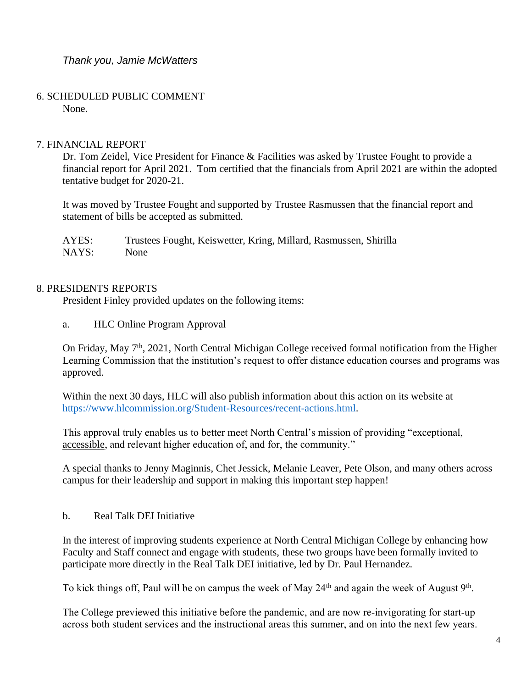*Thank you, Jamie McWatters*

 6. SCHEDULED PUBLIC COMMENT None.

# 7. FINANCIAL REPORT

Dr. Tom Zeidel, Vice President for Finance & Facilities was asked by Trustee Fought to provide a financial report for April 2021. Tom certified that the financials from April 2021 are within the adopted tentative budget for 2020-21.

It was moved by Trustee Fought and supported by Trustee Rasmussen that the financial report and statement of bills be accepted as submitted.

AYES: Trustees Fought, Keiswetter, Kring, Millard, Rasmussen, Shirilla NAYS: None

## 8. PRESIDENTS REPORTS

President Finley provided updates on the following items:

a. HLC Online Program Approval

On Friday, May 7<sup>th</sup>, 2021, North Central Michigan College received formal notification from the Higher Learning Commission that the institution's request to offer distance education courses and programs was approved.

Within the next 30 days, HLC will also publish information about this action on its website at [https://www.hlcommission.org/Student-Resources/recent-actions.html.](https://www.hlcommission.org/Student-Resources/recent-actions.html)

This approval truly enables us to better meet North Central's mission of providing "exceptional, accessible, and relevant higher education of, and for, the community."

A special thanks to Jenny Maginnis, Chet Jessick, Melanie Leaver, Pete Olson, and many others across campus for their leadership and support in making this important step happen!

b. Real Talk DEI Initiative

In the interest of improving students experience at North Central Michigan College by enhancing how Faculty and Staff connect and engage with students, these two groups have been formally invited to participate more directly in the Real Talk DEI initiative, led by Dr. Paul Hernandez.

To kick things off, Paul will be on campus the week of May 24<sup>th</sup> and again the week of August 9<sup>th</sup>.

The College previewed this initiative before the pandemic, and are now re-invigorating for start-up across both student services and the instructional areas this summer, and on into the next few years.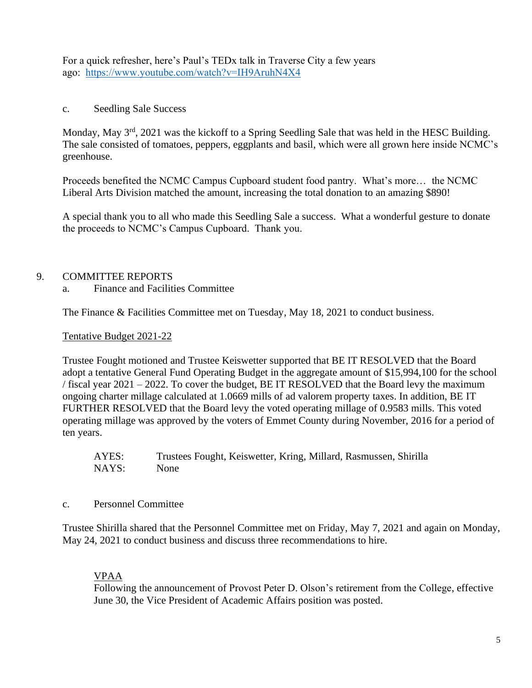For a quick refresher, here's Paul's TEDx talk in Traverse City a few years ago: <https://www.youtube.com/watch?v=IH9AruhN4X4>

c. Seedling Sale Success

Monday, May 3<sup>rd</sup>, 2021 was the kickoff to a Spring Seedling Sale that was held in the HESC Building. The sale consisted of tomatoes, peppers, eggplants and basil, which were all grown here inside NCMC's greenhouse.

Proceeds benefited the NCMC Campus Cupboard student food pantry. What's more… the NCMC Liberal Arts Division matched the amount, increasing the total donation to an amazing \$890!

A special thank you to all who made this Seedling Sale a success. What a wonderful gesture to donate the proceeds to NCMC's Campus Cupboard. Thank you.

# 9. COMMITTEE REPORTS

a. Finance and Facilities Committee

The Finance & Facilities Committee met on Tuesday, May 18, 2021 to conduct business.

Tentative Budget 2021-22

Trustee Fought motioned and Trustee Keiswetter supported that BE IT RESOLVED that the Board adopt a tentative General Fund Operating Budget in the aggregate amount of \$15,994,100 for the school / fiscal year 2021 – 2022. To cover the budget, BE IT RESOLVED that the Board levy the maximum ongoing charter millage calculated at 1.0669 mills of ad valorem property taxes. In addition, BE IT FURTHER RESOLVED that the Board levy the voted operating millage of 0.9583 mills. This voted operating millage was approved by the voters of Emmet County during November, 2016 for a period of ten years.

AYES: Trustees Fought, Keiswetter, Kring, Millard, Rasmussen, Shirilla NAYS: None

c. Personnel Committee

Trustee Shirilla shared that the Personnel Committee met on Friday, May 7, 2021 and again on Monday, May 24, 2021 to conduct business and discuss three recommendations to hire.

# VPAA

Following the announcement of Provost Peter D. Olson's retirement from the College, effective June 30, the Vice President of Academic Affairs position was posted.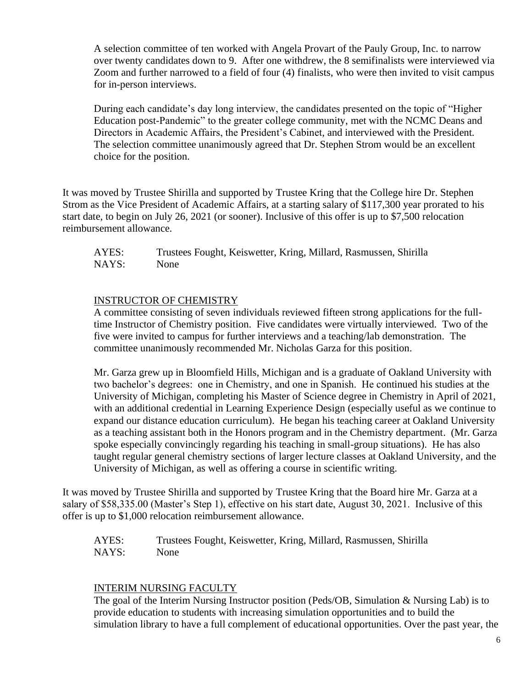A selection committee of ten worked with Angela Provart of the Pauly Group, Inc. to narrow over twenty candidates down to 9. After one withdrew, the 8 semifinalists were interviewed via Zoom and further narrowed to a field of four (4) finalists, who were then invited to visit campus for in-person interviews.

During each candidate's day long interview, the candidates presented on the topic of "Higher Education post-Pandemic" to the greater college community, met with the NCMC Deans and Directors in Academic Affairs, the President's Cabinet, and interviewed with the President. The selection committee unanimously agreed that Dr. Stephen Strom would be an excellent choice for the position.

It was moved by Trustee Shirilla and supported by Trustee Kring that the College hire Dr. Stephen Strom as the Vice President of Academic Affairs, at a starting salary of \$117,300 year prorated to his start date, to begin on July 26, 2021 (or sooner). Inclusive of this offer is up to \$7,500 relocation reimbursement allowance.

AYES: Trustees Fought, Keiswetter, Kring, Millard, Rasmussen, Shirilla NAYS: None

# INSTRUCTOR OF CHEMISTRY

A committee consisting of seven individuals reviewed fifteen strong applications for the fulltime Instructor of Chemistry position. Five candidates were virtually interviewed. Two of the five were invited to campus for further interviews and a teaching/lab demonstration. The committee unanimously recommended Mr. Nicholas Garza for this position.

Mr. Garza grew up in Bloomfield Hills, Michigan and is a graduate of Oakland University with two bachelor's degrees: one in Chemistry, and one in Spanish. He continued his studies at the University of Michigan, completing his Master of Science degree in Chemistry in April of 2021, with an additional credential in Learning Experience Design (especially useful as we continue to expand our distance education curriculum). He began his teaching career at Oakland University as a teaching assistant both in the Honors program and in the Chemistry department. (Mr. Garza spoke especially convincingly regarding his teaching in small-group situations). He has also taught regular general chemistry sections of larger lecture classes at Oakland University, and the University of Michigan, as well as offering a course in scientific writing.

It was moved by Trustee Shirilla and supported by Trustee Kring that the Board hire Mr. Garza at a salary of \$58,335.00 (Master's Step 1), effective on his start date, August 30, 2021. Inclusive of this offer is up to \$1,000 relocation reimbursement allowance.

AYES: Trustees Fought, Keiswetter, Kring, Millard, Rasmussen, Shirilla NAYS: None

## INTERIM NURSING FACULTY

The goal of the Interim Nursing Instructor position (Peds/OB, Simulation & Nursing Lab) is to provide education to students with increasing simulation opportunities and to build the simulation library to have a full complement of educational opportunities. Over the past year, the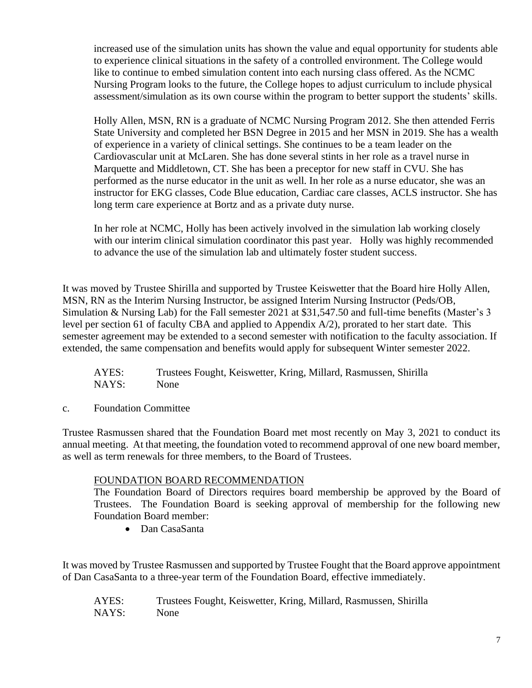increased use of the simulation units has shown the value and equal opportunity for students able to experience clinical situations in the safety of a controlled environment. The College would like to continue to embed simulation content into each nursing class offered. As the NCMC Nursing Program looks to the future, the College hopes to adjust curriculum to include physical assessment/simulation as its own course within the program to better support the students' skills.

Holly Allen, MSN, RN is a graduate of NCMC Nursing Program 2012. She then attended Ferris State University and completed her BSN Degree in 2015 and her MSN in 2019. She has a wealth of experience in a variety of clinical settings. She continues to be a team leader on the Cardiovascular unit at McLaren. She has done several stints in her role as a travel nurse in Marquette and Middletown, CT. She has been a preceptor for new staff in CVU. She has performed as the nurse educator in the unit as well. In her role as a nurse educator, she was an instructor for EKG classes, Code Blue education, Cardiac care classes, ACLS instructor. She has long term care experience at Bortz and as a private duty nurse.

In her role at NCMC, Holly has been actively involved in the simulation lab working closely with our interim clinical simulation coordinator this past year. Holly was highly recommended to advance the use of the simulation lab and ultimately foster student success.

It was moved by Trustee Shirilla and supported by Trustee Keiswetter that the Board hire Holly Allen, MSN, RN as the Interim Nursing Instructor, be assigned Interim Nursing Instructor (Peds/OB, Simulation & Nursing Lab) for the Fall semester 2021 at \$31,547.50 and full-time benefits (Master's 3 level per section 61 of faculty CBA and applied to Appendix A/2), prorated to her start date. This semester agreement may be extended to a second semester with notification to the faculty association. If extended, the same compensation and benefits would apply for subsequent Winter semester 2022.

AYES: Trustees Fought, Keiswetter, Kring, Millard, Rasmussen, Shirilla NAYS: None

c. Foundation Committee

Trustee Rasmussen shared that the Foundation Board met most recently on May 3, 2021 to conduct its annual meeting. At that meeting, the foundation voted to recommend approval of one new board member, as well as term renewals for three members, to the Board of Trustees.

# FOUNDATION BOARD RECOMMENDATION

The Foundation Board of Directors requires board membership be approved by the Board of Trustees. The Foundation Board is seeking approval of membership for the following new Foundation Board member:

• Dan CasaSanta

It was moved by Trustee Rasmussen and supported by Trustee Fought that the Board approve appointment of Dan CasaSanta to a three-year term of the Foundation Board, effective immediately.

AYES: Trustees Fought, Keiswetter, Kring, Millard, Rasmussen, Shirilla NAYS: None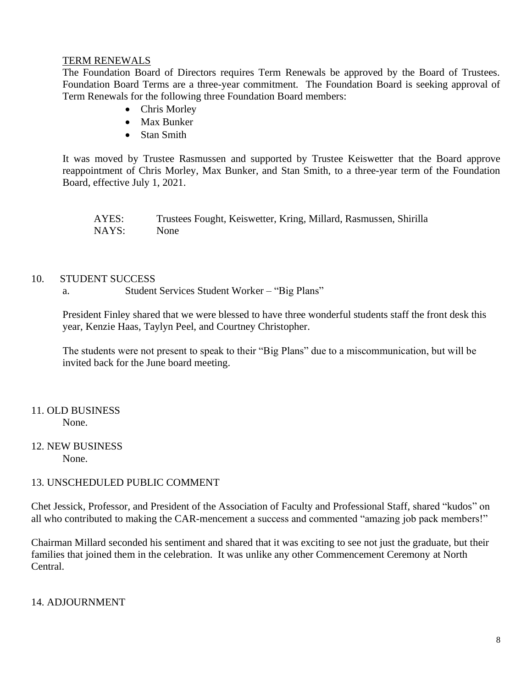## TERM RENEWALS

The Foundation Board of Directors requires Term Renewals be approved by the Board of Trustees. Foundation Board Terms are a three-year commitment. The Foundation Board is seeking approval of Term Renewals for the following three Foundation Board members:

- Chris Morley
- Max Bunker
- Stan Smith

It was moved by Trustee Rasmussen and supported by Trustee Keiswetter that the Board approve reappointment of Chris Morley, Max Bunker, and Stan Smith, to a three-year term of the Foundation Board, effective July 1, 2021.

| AYES: | Trustees Fought, Keiswetter, Kring, Millard, Rasmussen, Shirilla |
|-------|------------------------------------------------------------------|
| NAYS: | None                                                             |

## 10. STUDENT SUCCESS

a. Student Services Student Worker – "Big Plans"

President Finley shared that we were blessed to have three wonderful students staff the front desk this year, Kenzie Haas, Taylyn Peel, and Courtney Christopher.

The students were not present to speak to their "Big Plans" due to a miscommunication, but will be invited back for the June board meeting.

## 11. OLD BUSINESS None.

12. NEW BUSINESS None.

# 13. UNSCHEDULED PUBLIC COMMENT

Chet Jessick, Professor, and President of the Association of Faculty and Professional Staff, shared "kudos" on all who contributed to making the CAR-mencement a success and commented "amazing job pack members!"

Chairman Millard seconded his sentiment and shared that it was exciting to see not just the graduate, but their families that joined them in the celebration. It was unlike any other Commencement Ceremony at North Central.

# 14. ADJOURNMENT